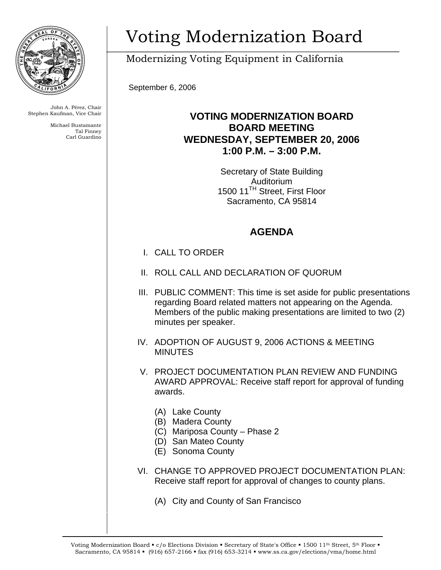

John A. Pérez, Chair Stephen Kaufman, Vice Chair

> Michael Bustamante Tal Finney Carl Guardino

## Voting Modernization Board

Modernizing Voting Equipment in California

September 6, 2006

## **VOTING MODERNIZATION BOARD BOARD MEETING WEDNESDAY, SEPTEMBER 20, 2006 1:00 P.M. – 3:00 P.M.**

Secretary of State Building Auditorium 1500 11<sup>TH</sup> Street, First Floor Sacramento, CA 95814

## **AGENDA**

- I. CALL TO ORDER
- II. ROLL CALL AND DECLARATION OF QUORUM
- III. PUBLIC COMMENT: This time is set aside for public presentations regarding Board related matters not appearing on the Agenda. Members of the public making presentations are limited to two (2) minutes per speaker.
- IV. ADOPTION OF AUGUST 9, 2006 ACTIONS & MEETING MINUTES
- V. PROJECT DOCUMENTATION PLAN REVIEW AND FUNDING AWARD APPROVAL: Receive staff report for approval of funding awards.
	- (A) Lake County
	- (B) Madera County
	- (C) Mariposa County Phase 2
	- (D) San Mateo County
	- (E) Sonoma County
- VI. CHANGE TO APPROVED PROJECT DOCUMENTATION PLAN: Receive staff report for approval of changes to county plans.
	- (A) City and County of San Francisco